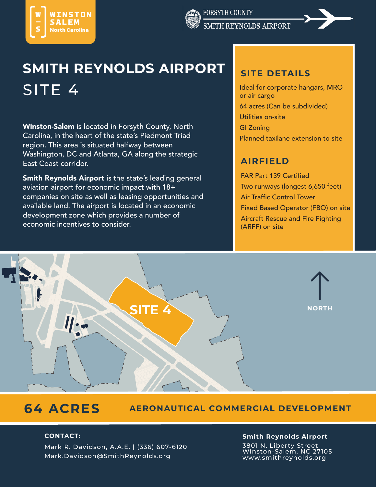



# **SMITH REYNOLDS AIRPORT** SITE 4 International component of the set of the set of the set of the set of the set of the set of the set of the set of the set of the set of the set of the set of the set of the set of the set of the set of the set of t

Winston-Salem is located in Forsyth County, North Carolina, in the heart of the state's Piedmont Triad region. This area is situated halfway between Washington, DC and Atlanta, GA along the strategic East Coast corridor.

Smith Reynolds Airport is the state's leading general aviation airport for economic impact with 18+ companies on site as well as leasing opportunities and available land. The airport is located in an economic development zone which provides a number of economic incentives to consider.

#### **SITE DETAILS**

or air cargo 64 acres (Can be subdivided) Utilities on-site GI Zoning Planned taxilane extension to site

### **AIRFIELD**

FAR Part 139 Certifed Two runways (longest 6,650 feet) **Air Traffic Control Tower** Fixed Based Operator (FBO) on site Aircraft Rescue and Fire Fighting (ARFF) on site



## **64 ACRES**

#### **AERONAUTICAL COMMERCIAL DEVELOPMENT**

Mark R. Davidson, A.A.E. | (336) 607-6120 Mark.Davidson@SmithReynolds.org

#### **CONTACT: Smith Reynolds Airport**

3801 N. Liberty Street Winston-Salem, NC 27105 www.smithreynolds.org